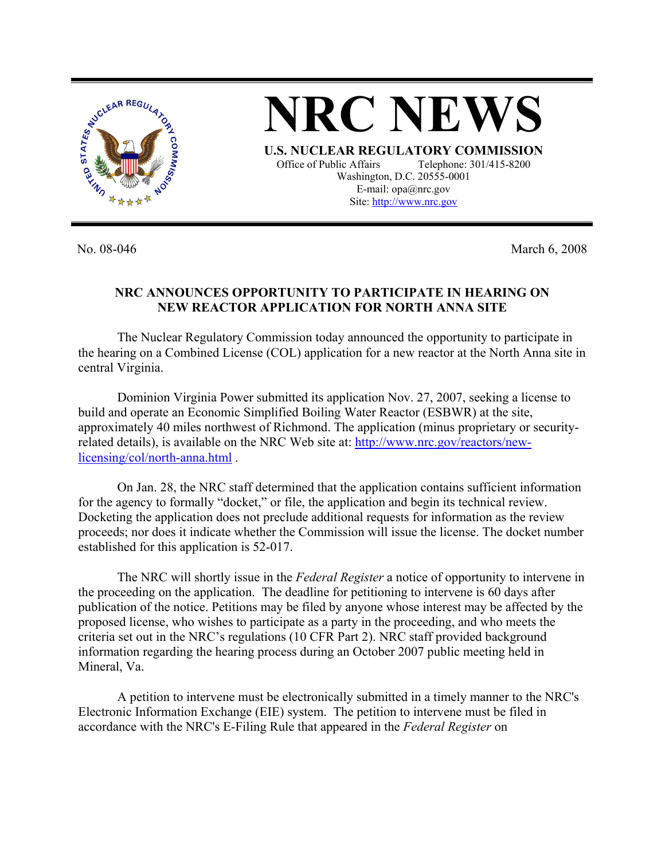

**NRC NEWS U.S. NUCLEAR REGULATORY COMMISSION** Office of Public Affairs Telephone: 301/415-8200 Washington, D.C. 20555-0001 E-mail: opa@nrc.gov

Site: http://www.nrc.gov

No. 08-046 March 6, 2008

## **NRC ANNOUNCES OPPORTUNITY TO PARTICIPATE IN HEARING ON NEW REACTOR APPLICATION FOR NORTH ANNA SITE**

 The Nuclear Regulatory Commission today announced the opportunity to participate in the hearing on a Combined License (COL) application for a new reactor at the North Anna site in central Virginia.

Dominion Virginia Power submitted its application Nov. 27, 2007, seeking a license to build and operate an Economic Simplified Boiling Water Reactor (ESBWR) at the site, approximately 40 miles northwest of Richmond. The application (minus proprietary or securityrelated details), is available on the NRC Web site at: http://www.nrc.gov/reactors/newlicensing/col/north-anna.html .

 On Jan. 28, the NRC staff determined that the application contains sufficient information for the agency to formally "docket," or file, the application and begin its technical review. Docketing the application does not preclude additional requests for information as the review proceeds; nor does it indicate whether the Commission will issue the license. The docket number established for this application is 52-017.

 The NRC will shortly issue in the *Federal Register* a notice of opportunity to intervene in the proceeding on the application. The deadline for petitioning to intervene is 60 days after publication of the notice. Petitions may be filed by anyone whose interest may be affected by the proposed license, who wishes to participate as a party in the proceeding, and who meets the criteria set out in the NRC's regulations (10 CFR Part 2). NRC staff provided background information regarding the hearing process during an October 2007 public meeting held in Mineral, Va.

 A petition to intervene must be electronically submitted in a timely manner to the NRC's Electronic Information Exchange (EIE) system. The petition to intervene must be filed in accordance with the NRC's E-Filing Rule that appeared in the *Federal Register* on